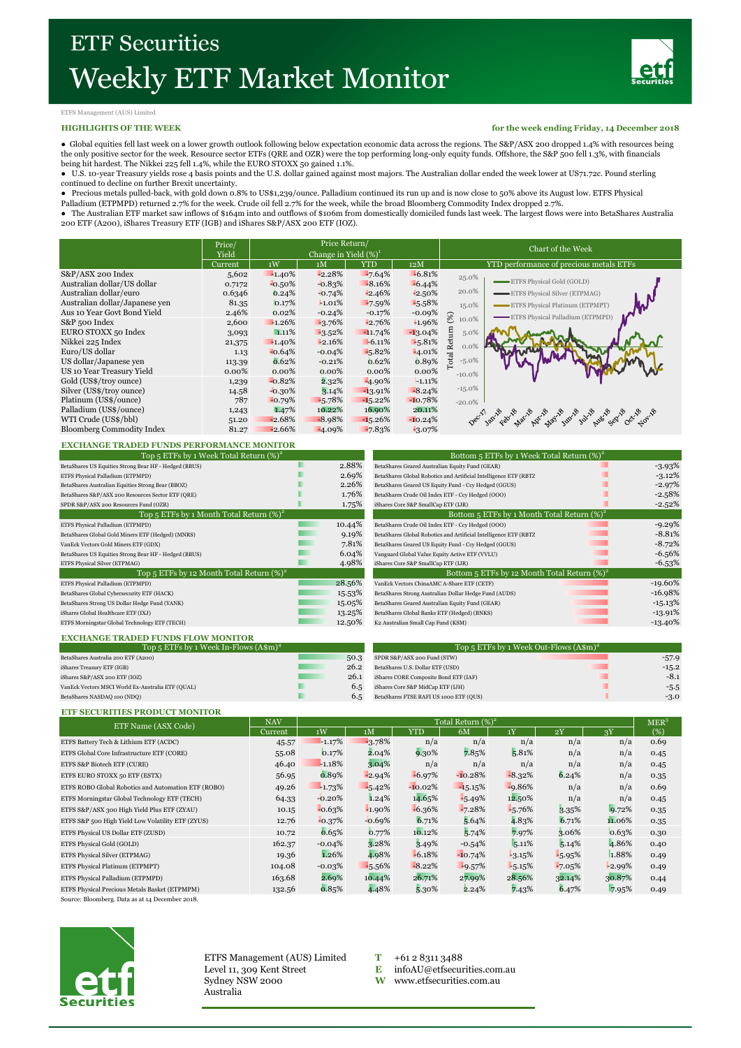

## ETFS Management (AUS) Limited

#### **HIGHLIGHTS OF THE WEEK**

**for the week ending Friday, 14 December 2018**

● Global equities fell last week on a lower growth outlook following below expectation economic data across the regions. The S&P/ASX 200 dropped 1.4% with resources being the only positive sector for the week. Resource sector ETFs (QRE and OZR) were the top performing long-only equity funds. Offshore, the S&P 500 fell 1.3%, with financials being hit hardest. The Nikkei 225 fell 1.4%, while the EURO STOXX 50 gained 1.1%.

● U.S. 10-year Treasury yields rose 4 basis points and the U.S. dollar gained against most majors. The Australian dollar ended the week lower at US71.72c. Pound sterling continued to decline on further Brexit uncertainty.<br>● Precious metals pulled-back, with gold down 0.8% to US\$1,239/ounce. Palladium continued its run up and is now close to 50% above its August low. ETFS Physical<br>Palladiu

200 ETF (A200), iShares Treasury ETF (IGB) and iShares S&P/ASX 200 ETF (IOZ).

|                                  | Price/<br>Yield | Price Return/<br>Change in Yield $(\%)^1$ |           |            |            | Chart of the Week                                       |  |  |  |
|----------------------------------|-----------------|-------------------------------------------|-----------|------------|------------|---------------------------------------------------------|--|--|--|
|                                  | Current         | 1W                                        | 1M        | <b>YTD</b> | 12M        | YTD performance of precious metals ETFs                 |  |  |  |
| S&P/ASX 200 Index                | 5,602           | $-1.40\%$                                 | $-2.28%$  | $-7.64%$   | $-6.81%$   | 25.0%                                                   |  |  |  |
| Australian dollar/US dollar      | 0.7172          | $-0.50%$                                  | $-0.83%$  | $-8.16%$   | $-6.44%$   | ETFS Physical Gold (GOLD)                               |  |  |  |
| Australian dollar/euro           | 0.6346          | 0.24%                                     | $-0.74%$  | $-2.46%$   | $-2.50%$   | 20.0%<br>ETFS Physical Silver (ETPMAG)                  |  |  |  |
| Australian dollar/Japanese ven   | 81.35           | 0.17%                                     | $-1.01%$  | $-7.59%$   | $-5.58%$   | 15.0%<br><b>ETFS Physical Platinum (ETPMPT)</b>         |  |  |  |
| Aus 10 Year Govt Bond Yield      | 2.46%           | 0.02%                                     | $-0.24%$  | $-0.17%$   | $-0.09%$   | $\left( \%)$<br>ETFS Physical Palladium (ETPMPD)        |  |  |  |
| S&P 500 Index                    | 2,600           | $-1.26%$                                  | $-3.76%$  | $-2.76%$   | 1.96%      | 10.0%                                                   |  |  |  |
| EURO STOXX 50 Index              | 3,093           | 1.11%                                     | $-3.52\%$ | $-11.74%$  | $-13.04\%$ | 5.0%                                                    |  |  |  |
| Nikkei 225 Index                 | 21,375          | $-1.40%$                                  | $-2.16%$  | $-6.11%$   | $-5.81%$   | $0.0\%$                                                 |  |  |  |
| Euro/US dollar                   | 1.13            | $-0.64%$                                  | $-0.04%$  | $-5.82%$   | $-4.01%$   | Total Return                                            |  |  |  |
| US dollar/Japanese yen           | 113.39          | 0.62%                                     | $-0.21%$  | 0.62%      | 0.89%      | $-5.0\%$                                                |  |  |  |
| US 10 Year Treasury Yield        | $0.00\%$        | $0.00\%$                                  | $0.00\%$  | $0.00\%$   | 0.00%      | $-10.0%$                                                |  |  |  |
| Gold (US\$/troy ounce)           | 1,239           | $-0.82%$                                  | 2.32%     | $-4.90\%$  | $-1.11%$   |                                                         |  |  |  |
| Silver (US\$/troy ounce)         | 14.58           | $-0.30\%$                                 | 3.14%     | $-13.91%$  | $-8.24%$   | $-15.0\%$                                               |  |  |  |
| Platinum (US\$/ounce)            | 787             | $-0.79%$                                  | $-5.78%$  | $-15.22%$  | $-10.78%$  | $-20.0%$                                                |  |  |  |
| Palladium (US\$/ounce)           | 1,243           | 1.47%                                     | 10.22%    | 16.90%     | 20.11%     |                                                         |  |  |  |
| WTI Crude (US\$/bbl)             | 51.20           | $-2.68%$                                  | $-8.98%$  | $-15.26%$  | $-10.24%$  | Decryloxy Registration of the first part of the control |  |  |  |
| <b>Bloomberg Commodity Index</b> | 81.27           | $-2.66%$                                  | $-4.09%$  | $-7.83%$   | $-3.07%$   |                                                         |  |  |  |

#### **EXCHANGE TRADED FUNDS PERFORMANCE MONITOR**

|       | Bottom 5 ETFs by 1 Week Total Return $(\%)^2$                    |           |
|-------|------------------------------------------------------------------|-----------|
| 2.88% | BetaShares Geared Australian Equity Fund (GEAR)                  | $-3.93%$  |
| 2.69% | BetaShares Global Robotics and Artificial Intelligence ETF (RBT2 | $-3.12%$  |
| 2.26% | BetaShares Geared US Equity Fund - Ccy Hedged (GGUS)             | $-2.97%$  |
| 1.76% | BetaShares Crude Oil Index ETF - Ccy Hedged (OOO)                | $-2.58%$  |
| 1.75% | iShares Core S&P SmallCap ETF (LJR)                              | $-2.52%$  |
|       | Bottom 5 ETFs by 1 Month Total Return $(\%)^2$                   |           |
|       | BetaShares Crude Oil Index ETF - Ccy Hedged (OOO)                | $-9.29%$  |
| 9.19% | BetaShares Global Robotics and Artificial Intelligence ETF (RBT2 | $-8.81%$  |
| 7.81% | BetaShares Geared US Equity Fund - Ccy Hedged (GGUS)             | $-8.72%$  |
| 6.04% | Vanguard Global Value Equity Active ETF (VVLU)                   | $-6.56%$  |
| 4.98% | iShares Core S&P SmallCap ETF (LJR)                              | $-6.53%$  |
|       | Bottom 5 ETFs by 12 Month Total Return $(\%)^2$                  |           |
|       | VanEck Vectors ChinaAMC A-Share ETF (CETF)                       | $-19.60%$ |
|       | BetaShares Strong Australian Dollar Hedge Fund (AUDS)            | $-16.98%$ |
|       | BetaShares Geared Australian Equity Fund (GEAR)                  | $-15.13%$ |
|       | BetaShares Global Banks ETF (Hedged) (BNKS)                      | $-13.91%$ |
|       | K2 Australian Small Cap Fund (KSM)                               | $-13.40%$ |
|       | 10.44%<br>28.56%<br>15.53%<br>15.05%<br>13.25%<br>12.50%         |           |

| Top 5 ETFs by 1 Week Total Return $(\%)^2$            |        | Bottom 5 ETFs by 1 Week Total Return $(\%)^2$                             |            |  |  |  |
|-------------------------------------------------------|--------|---------------------------------------------------------------------------|------------|--|--|--|
| BetaShares US Equities Strong Bear HF - Hedged (BBUS) |        | 2.88%<br>BetaShares Geared Australian Equity Fund (GEAR)                  | $-3.93\%$  |  |  |  |
| ETFS Physical Palladium (ETPMPD)                      |        | 2.69%<br>BetaShares Global Robotics and Artificial Intelligence ETF (RBTZ | $-3.12\%$  |  |  |  |
| BetaShares Australian Equities Strong Bear (BBOZ)     |        | 2.26%<br>BetaShares Geared US Equity Fund - Ccy Hedged (GGUS)             | $-2.97%$   |  |  |  |
| BetaShares S&P/ASX 200 Resources Sector ETF (QRE)     |        | 1.76%<br>BetaShares Crude Oil Index ETF - Ccy Hedged (OOO)                | $-2.58%$   |  |  |  |
| SPDR S&P/ASX 200 Resources Fund (OZR)                 |        | 1.75%<br>iShares Core S&P SmallCap ETF (LJR)                              | $-2.52%$   |  |  |  |
| Top 5 ETFs by 1 Month Total Return $(\%)^2$           |        | Bottom 5 ETFs by 1 Month Total Return $(\%)^2$                            |            |  |  |  |
| ETFS Physical Palladium (ETPMPD)                      |        | 10.44%<br>BetaShares Crude Oil Index ETF - Ccy Hedged (OOO)               | $-9.29%$   |  |  |  |
| BetaShares Global Gold Miners ETF (Hedged) (MNRS)     |        | 9.19%<br>BetaShares Global Robotics and Artificial Intelligence ETF (RBTZ | $-8.81%$   |  |  |  |
| VanEck Vectors Gold Miners ETF (GDX)                  |        | 7.81%<br>BetaShares Geared US Equity Fund - Ccy Hedged (GGUS)             | $-8.72%$   |  |  |  |
| BetaShares US Equities Strong Bear HF - Hedged (BBUS) |        | 6.04%<br>Vanguard Global Value Equity Active ETF (VVLU)                   | $-6.56%$   |  |  |  |
| ETFS Physical Silver (ETPMAG)                         |        | 4.98%<br>iShares Core S&P SmallCap ETF (LJR)                              | $-6.53%$   |  |  |  |
| Top 5 ETFs by 12 Month Total Return $(\%)^2$          |        | Bottom 5 ETFs by 12 Month Total Return $(\%)^2$                           |            |  |  |  |
| ETFS Physical Palladium (ETPMPD)                      | 28.56% | VanEck Vectors ChinaAMC A-Share ETF (CETF)                                | $-19.60%$  |  |  |  |
| BetaShares Global Cybersecurity ETF (HACK)            |        | 15.53%<br>BetaShares Strong Australian Dollar Hedge Fund (AUDS)           | $-16.98%$  |  |  |  |
| BetaShares Strong US Dollar Hedge Fund (YANK)         |        | 15.05%<br>BetaShares Geared Australian Equity Fund (GEAR)                 | $-15.13\%$ |  |  |  |
| iShares Global Healthcare ETF (IXJ)                   |        | 13.25%<br>BetaShares Global Banks ETF (Hedged) (BNKS)                     | $-13.91\%$ |  |  |  |
| ETFS Morningstar Global Technology ETF (TECH)         |        | 12.50%<br>K2 Australian Small Cap Fund (KSM)                              | $-13.40\%$ |  |  |  |

#### **EXCHANGE TRADED FUNDS FLOW MONITOR** SPDR S&P/ASX 200 Fund (STW) 26.2 BetaShares U.S. Dollar ETF (USD) 26.2 -15.2 iShares S&P/ASX 200 ETF (IOZ) 26.1 - 1Shares CORE Composite Bond ETF (IAF) 26.1 - 3.1 -8.1 iShares Core S&P MidCap ETF (IJH) BetaShares FTSE RAFI US 1000 ETF (QUS) 6.5 -3.0 VanEck Vectors MSCI World Ex-Australia ETF (QUAL) **6.5** Shares Core S&P MidCap ETF (LHI) **6.6** - 5.5 BetaShares NASDAQ 100 (NDQ) Top 5 ETFs by 1 Week In-Flows (A\$m) Top 5 ETFs by 1 Week Out-Flows  $(A$m)$ <sup>4</sup> BetaShares Australia 200 ETF (A200) 50.3 5PDR S&P/ASX 200 Fund (STW) 50.3 5PDR S&P/ASX 200 Fund (STW) 57.9 50.3 5PDR S&P/ASX 200 Fund (STW) 57.9 50.3 5PDR S&P/ASX 200 Fund (STW) 57.9 50.3 5PDR S&P/ASX 200 Fund (STW) 51.5.2 iShares Treasury ETF (IGB)

#### **ETF SECURITIES PRODUCT MONITOR**

| ETF Name (ASX Code)                                 | <b>NAV</b>     | Total Return (%) <sup>2</sup> |                |           |           |          |          |          | MER <sup>5</sup> |
|-----------------------------------------------------|----------------|-------------------------------|----------------|-----------|-----------|----------|----------|----------|------------------|
|                                                     | <b>Current</b> | 1W                            | 1 <sub>M</sub> | YTD       | 6M        | 1Y       | 2Y       | 3Y       | (%)              |
| ETFS Battery Tech & Lithium ETF (ACDC)              | 45.57          | $-1.17%$                      | $-3.78%$       | n/a       | n/a       | n/a      | n/a      | n/a      | 0.69             |
| ETFS Global Core Infrastructure ETF (CORE)          | 55.08          | 0.17%                         | 2.04%          | 9.30%     | 7.85%     | 5.81%    | n/a      | n/a      | 0.45             |
| ETFS S&P Biotech ETF (CURE)                         | 46.40          | $-1.18%$                      | 3.04%          | n/a       | n/a       | n/a      | n/a      | n/a      | 0.45             |
| ETFS EURO STOXX 50 ETF (ESTX)                       | 56.95          | 0.89%                         | $-2.94%$       | $-6.97%$  | $-10.28%$ | $-8.32%$ | 6.24%    | n/a      | 0.35             |
| ETFS ROBO Global Robotics and Automation ETF (ROBO) | 49.26          | $-1.73%$                      | $-5.42%$       | $-10.02%$ | $-15.15%$ | $-9.86%$ | n/a      | n/a      | 0.69             |
| ETFS Morningstar Global Technology ETF (TECH)       | 64.33          | $-0.20%$                      | 1.24%          | 14.65%    | $-5.49%$  | 12.50%   | n/a      | n/a      | 0.45             |
| ETFS S&P/ASX 300 High Yield Plus ETF (ZYAU)         | 10.15          | $-0.63%$                      | $-1.90\%$      | $-6.36%$  | $-7.28%$  | $-5.76%$ | 3.35%    | 9.72%    | 0.35             |
| ETFS S&P 500 High Yield Low Volatility ETF (ZYUS)   | 12.76          | $-0.37%$                      | $-0.69%$       | 6.71%     | 5.64%     | 4.83%    | 6.71%    | 11.06%   | 0.35             |
| ETFS Physical US Dollar ETF (ZUSD)                  | 10.72          | 0.65%                         | 0.77%          | 10.12%    | 5.74%     | 7.97%    | 3.06%    | 0.63%    | 0.30             |
| ETFS Physical Gold (GOLD)                           | 162.37         | $-0.04%$                      | 3.28%          | 3.49%     | $-0.54%$  | 5.11%    | 5.14%    | 4.86%    | 0.40             |
| ETFS Physical Silver (ETPMAG)                       | 19.36          | 1.26%                         | 4.98%          | $-6.18%$  | $-10.74%$ | $-3.15%$ | $-5.95%$ | 1.88%    | 0.49             |
| ETFS Physical Platinum (ETPMPT)                     | 104.08         | $-0.03%$                      | $-5.56%$       | $-8.22%$  | $-9.57%$  | $-5.15%$ | $-7.05%$ | $-2.99%$ | 0.49             |
| ETFS Physical Palladium (ETPMPD)                    | 163.68         | 2.69%                         | 10.44%         | 26.71%    | 27.99%    | 28.56%   | 32.14%   | 30.87%   | 0.44             |
| ETFS Physical Precious Metals Basket (ETPMPM)       | 132.56         | 0.85%                         | 4.48%          | 5.30%     | 2.24%     | 7.43%    | 6.47%    | 7.95%    | 0.49             |

Source: Bloomberg. Data as at 14 December 2018.



ETFS Management (AUS) Limited **T** +61 2 8311 3488 Level 11, 309 Kent Street **E** [infoAU@etfsecurities.com.au](mailto:infoAU@etfsecurities.com.au) Sydney NSW 2000 **W** [www.etfsecurities.com.au](http://www.etfsecurities.com.au/) Australia